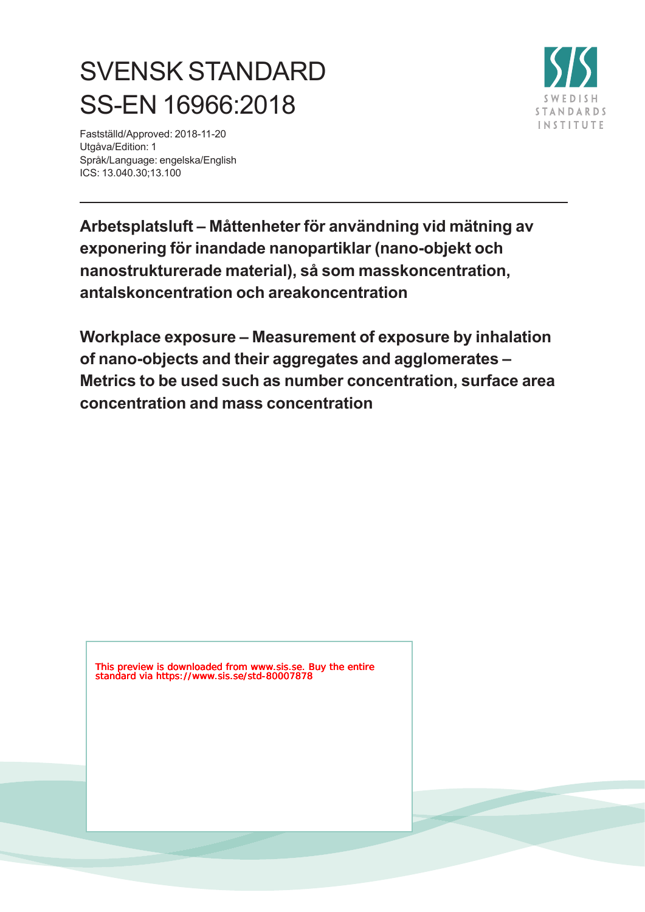# SVENSK STANDARD SS-EN 16966:2018



Fastställd/Approved: 2018-11-20 Utgåva/Edition: 1 Språk/Language: engelska/English ICS: 13.040.30;13.100

**Arbetsplatsluft – Måttenheter för användning vid mätning av exponering för inandade nanopartiklar (nano-objekt och nanostrukturerade material), så som masskoncentration, antalskoncentration och areakoncentration**

**Workplace exposure – Measurement of exposure by inhalation of nano-objects and their aggregates and agglomerates – Metrics to be used such as number concentration, surface area concentration and mass concentration**

This preview is downloaded from www.sis.se. Buy the entire standard via https://www.sis.se/std-80007878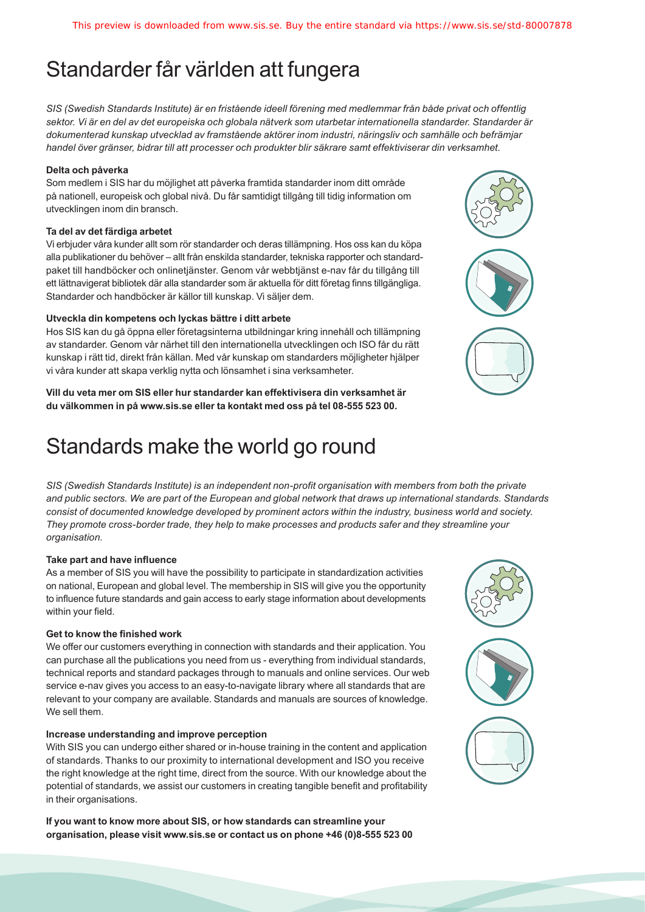# Standarder får världen att fungera

*SIS (Swedish Standards Institute) är en fristående ideell förening med medlemmar från både privat och offentlig sektor. Vi är en del av det europeiska och globala nätverk som utarbetar internationella standarder. Standarder är dokumenterad kunskap utvecklad av framstående aktörer inom industri, näringsliv och samhälle och befrämjar handel över gränser, bidrar till att processer och produkter blir säkrare samt effektiviserar din verksamhet.* 

#### **Delta och påverka**

Som medlem i SIS har du möjlighet att påverka framtida standarder inom ditt område på nationell, europeisk och global nivå. Du får samtidigt tillgång till tidig information om utvecklingen inom din bransch.

### **Ta del av det färdiga arbetet**

Vi erbjuder våra kunder allt som rör standarder och deras tillämpning. Hos oss kan du köpa alla publikationer du behöver – allt från enskilda standarder, tekniska rapporter och standardpaket till handböcker och onlinetjänster. Genom vår webbtjänst e-nav får du tillgång till ett lättnavigerat bibliotek där alla standarder som är aktuella för ditt företag finns tillgängliga. Standarder och handböcker är källor till kunskap. Vi säljer dem.

#### **Utveckla din kompetens och lyckas bättre i ditt arbete**

Hos SIS kan du gå öppna eller företagsinterna utbildningar kring innehåll och tillämpning av standarder. Genom vår närhet till den internationella utvecklingen och ISO får du rätt kunskap i rätt tid, direkt från källan. Med vår kunskap om standarders möjligheter hjälper vi våra kunder att skapa verklig nytta och lönsamhet i sina verksamheter.

**Vill du veta mer om SIS eller hur standarder kan effektivisera din verksamhet är du välkommen in på www.sis.se eller ta kontakt med oss på tel 08-555 523 00.**

# Standards make the world go round

*SIS (Swedish Standards Institute) is an independent non-profit organisation with members from both the private and public sectors. We are part of the European and global network that draws up international standards. Standards consist of documented knowledge developed by prominent actors within the industry, business world and society. They promote cross-border trade, they help to make processes and products safer and they streamline your organisation.*

#### **Take part and have influence**

As a member of SIS you will have the possibility to participate in standardization activities on national, European and global level. The membership in SIS will give you the opportunity to influence future standards and gain access to early stage information about developments within your field.

#### **Get to know the finished work**

We offer our customers everything in connection with standards and their application. You can purchase all the publications you need from us - everything from individual standards, technical reports and standard packages through to manuals and online services. Our web service e-nav gives you access to an easy-to-navigate library where all standards that are relevant to your company are available. Standards and manuals are sources of knowledge. We sell them.

#### **Increase understanding and improve perception**

With SIS you can undergo either shared or in-house training in the content and application of standards. Thanks to our proximity to international development and ISO you receive the right knowledge at the right time, direct from the source. With our knowledge about the potential of standards, we assist our customers in creating tangible benefit and profitability in their organisations.

**If you want to know more about SIS, or how standards can streamline your organisation, please visit www.sis.se or contact us on phone +46 (0)8-555 523 00**



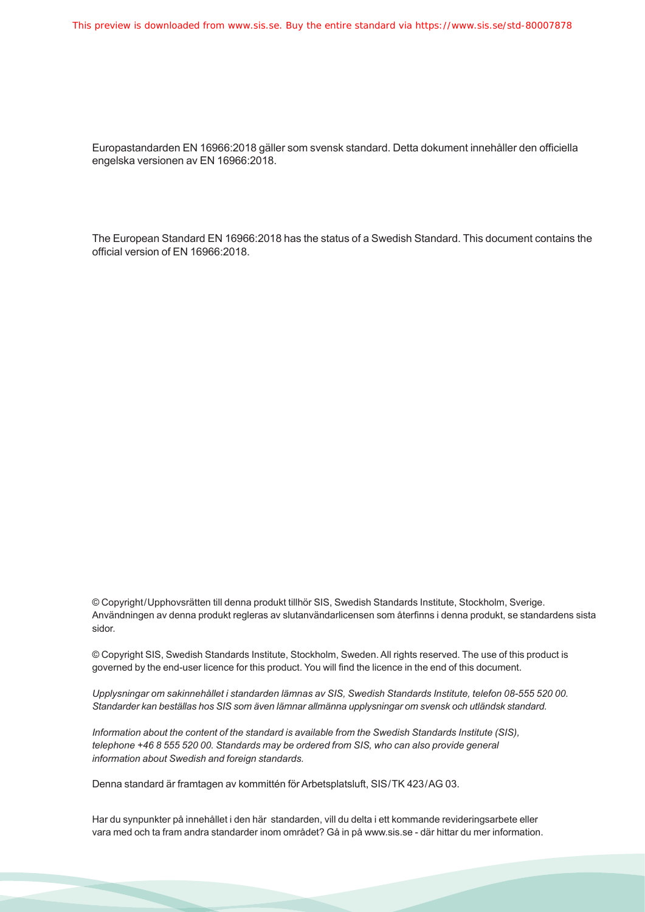Europastandarden EN 16966:2018 gäller som svensk standard. Detta dokument innehåller den officiella engelska versionen av EN 16966:2018.

The European Standard EN 16966:2018 has the status of a Swedish Standard. This document contains the official version of EN 16966:2018.

© Copyright / Upphovsrätten till denna produkt tillhör SIS, Swedish Standards Institute, Stockholm, Sverige. Användningen av denna produkt regleras av slutanvändarlicensen som återfinns i denna produkt, se standardens sista sidor.

© Copyright SIS, Swedish Standards Institute, Stockholm, Sweden. All rights reserved. The use of this product is governed by the end-user licence for this product. You will find the licence in the end of this document.

*Upplysningar om sakinnehållet i standarden lämnas av SIS, Swedish Standards Institute, telefon 08-555 520 00. Standarder kan beställas hos SIS som även lämnar allmänna upplysningar om svensk och utländsk standard.*

*Information about the content of the standard is available from the Swedish Standards Institute (SIS), telephone +46 8 555 520 00. Standards may be ordered from SIS, who can also provide general information about Swedish and foreign standards.*

Denna standard är framtagen av kommittén för Arbetsplatsluft, SIS / TK 423 / AG 03.

Har du synpunkter på innehållet i den här standarden, vill du delta i ett kommande revideringsarbete eller vara med och ta fram andra standarder inom området? Gå in på www.sis.se - där hittar du mer information.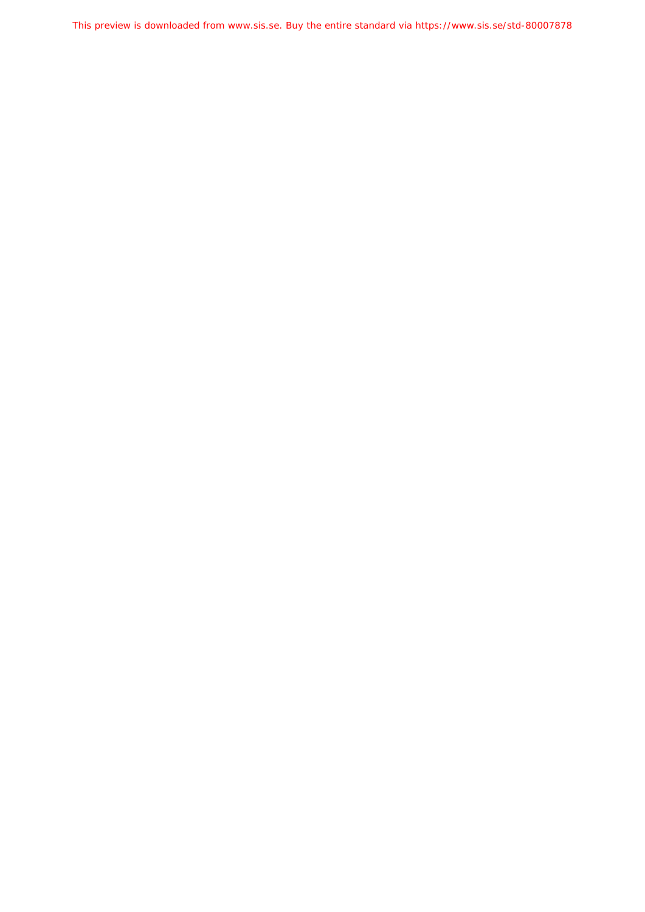This preview is downloaded from www.sis.se. Buy the entire standard via https://www.sis.se/std-80007878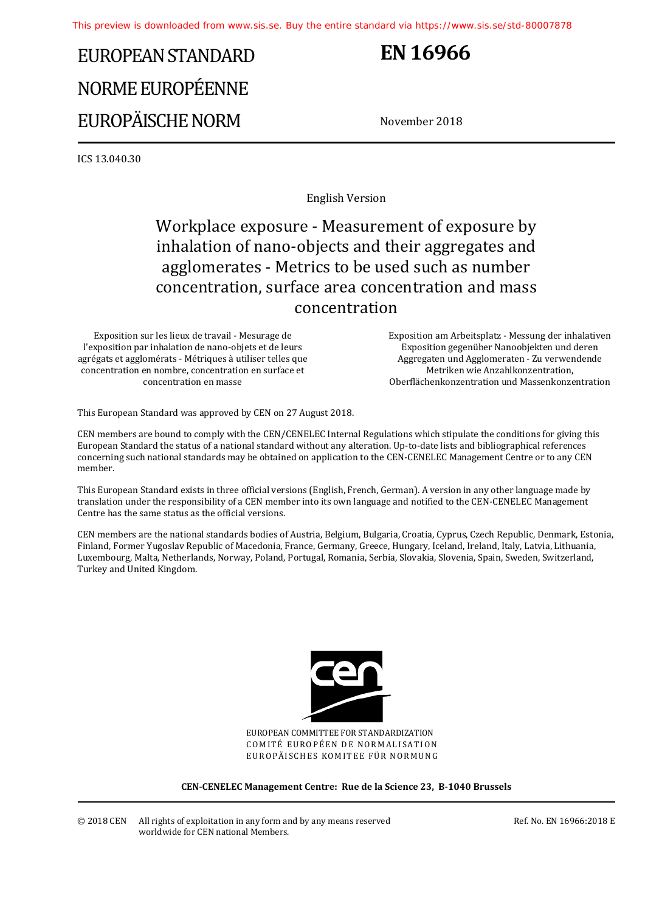# EUROPEAN STANDARD NORME EUROPÉENNE EUROPÄISCHE NORM

# **EN 16966**

November 2018

ICS 13.040.30

English Version

# Workplace exposure - Measurement of exposure by inhalation of nano-objects and their aggregates and agglomerates - Metrics to be used such as number concentration, surface area concentration and mass concentration

Exposition sur les lieux de travail - Mesurage de l'exposition par inhalation de nano-objets et de leurs agrégats et agglomérats - Métriques à utiliser telles que concentration en nombre, concentration en surface et concentration en masse

 Exposition am Arbeitsplatz - Messung der inhalativen Exposition gegenüber Nanoobjekten und deren Aggregaten und Agglomeraten - Zu verwendende Metriken wie Anzahlkonzentration, Oberflächenkonzentration und Massenkonzentration

This European Standard was approved by CEN on 27 August 2018.

CEN members are bound to comply with the CEN/CENELEC Internal Regulations which stipulate the conditions for giving this European Standard the status of a national standard without any alteration. Up-to-date lists and bibliographical references concerning such national standards may be obtained on application to the CEN-CENELEC Management Centre or to any CEN member.

This European Standard exists in three official versions (English, French, German). A version in any other language made by translation under the responsibility of a CEN member into its own language and notified to the CEN-CENELEC Management Centre has the same status as the official versions.

CEN members are the national standards bodies of Austria, Belgium, Bulgaria, Croatia, Cyprus, Czech Republic, Denmark, Estonia, Finland, Former Yugoslav Republic of Macedonia, France, Germany, Greece, Hungary, Iceland, Ireland, Italy, Latvia, Lithuania, Luxembourg, Malta, Netherlands, Norway, Poland, Portugal, Romania, Serbia, Slovakia, Slovenia, Spain, Sweden, Switzerland, Turkey and United Kingdom.



EUROPEAN COMMITTEE FOR STANDARDIZATION COMITÉ EUROPÉEN DE NORMALISATION EUROPÄISCHES KOMITEE FÜR NORMUNG

**CEN-CENELEC Management Centre: Rue de la Science 23, B-1040 Brussels** 

© 2018 CEN All rights of exploitation in any form and by any means reserved worldwide for CEN national Members.

Ref. No. EN 16966:2018 E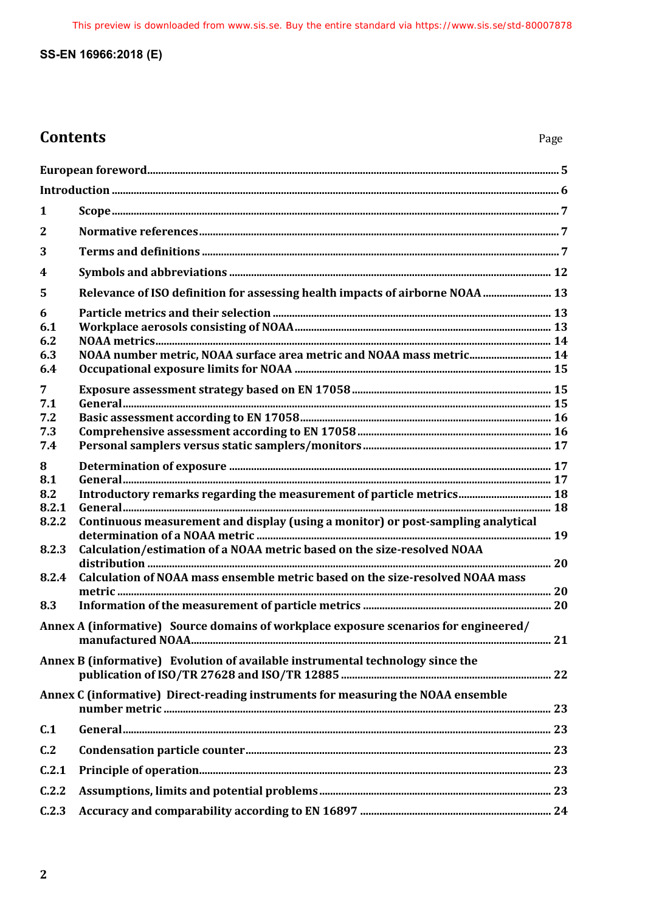# **Contents**

| 1                             |                                                                                      |  |  |
|-------------------------------|--------------------------------------------------------------------------------------|--|--|
| $\mathbf{2}$                  |                                                                                      |  |  |
| 3                             |                                                                                      |  |  |
| $\overline{\mathbf{4}}$       |                                                                                      |  |  |
| 5                             | Relevance of ISO definition for assessing health impacts of airborne NOAA  13        |  |  |
| 6<br>6.1<br>6.2<br>6.3<br>6.4 | NOAA number metric, NOAA surface area metric and NOAA mass metric 14                 |  |  |
| $\overline{7}$<br>7.1         |                                                                                      |  |  |
| 7.2                           |                                                                                      |  |  |
| 7.3<br>7.4                    |                                                                                      |  |  |
| 8                             |                                                                                      |  |  |
| 8.1                           |                                                                                      |  |  |
| 8.2<br>8.2.1                  | Introductory remarks regarding the measurement of particle metrics 18                |  |  |
| 8.2.2                         | Continuous measurement and display (using a monitor) or post-sampling analytical     |  |  |
| 8.2.3                         | Calculation/estimation of a NOAA metric based on the size-resolved NOAA              |  |  |
| 8.2.4                         | Calculation of NOAA mass ensemble metric based on the size-resolved NOAA mass        |  |  |
| 8.3                           |                                                                                      |  |  |
|                               | Annex A (informative) Source domains of workplace exposure scenarios for engineered/ |  |  |
|                               | Annex B (informative) Evolution of available instrumental technology since the       |  |  |
|                               | Annex C (informative) Direct-reading instruments for measuring the NOAA ensemble     |  |  |
| C.1                           |                                                                                      |  |  |
| C.2                           |                                                                                      |  |  |
| C.2.1                         |                                                                                      |  |  |
| C.2.2                         |                                                                                      |  |  |
| C.2.3                         |                                                                                      |  |  |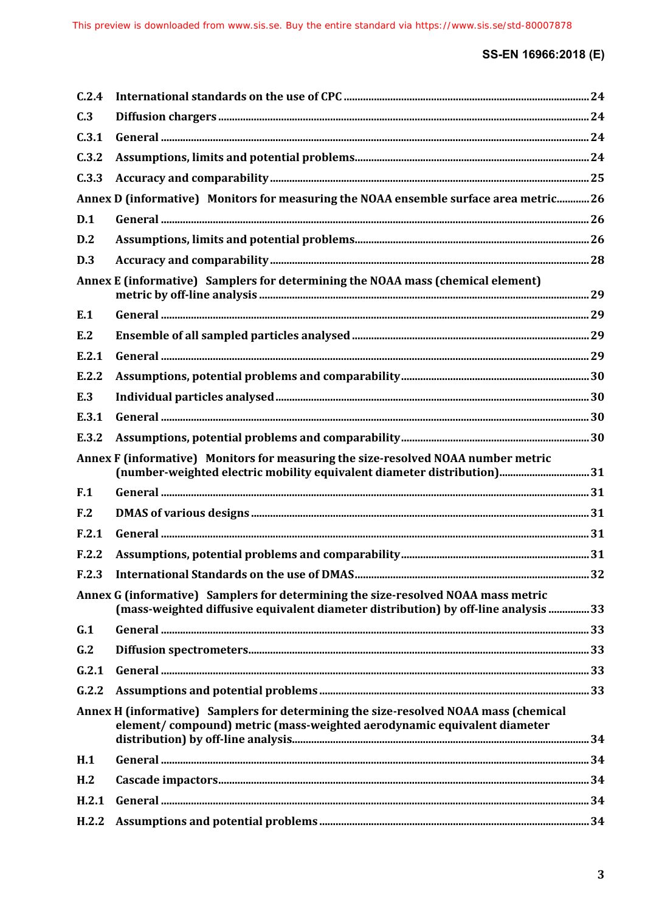| C.2.4           |                                                                                                                                                                 |     |
|-----------------|-----------------------------------------------------------------------------------------------------------------------------------------------------------------|-----|
| C.3             |                                                                                                                                                                 |     |
| C.3.1           |                                                                                                                                                                 |     |
| C.3.2           |                                                                                                                                                                 |     |
| C.3.3           |                                                                                                                                                                 |     |
|                 | Annex D (informative) Monitors for measuring the NOAA ensemble surface area metric26                                                                            |     |
| D.1             |                                                                                                                                                                 |     |
| D.2             |                                                                                                                                                                 |     |
| D.3             |                                                                                                                                                                 |     |
|                 | Annex E (informative) Samplers for determining the NOAA mass (chemical element)                                                                                 |     |
| E.1             |                                                                                                                                                                 |     |
| E.2             |                                                                                                                                                                 |     |
| E.2.1           |                                                                                                                                                                 |     |
| E.2.2           |                                                                                                                                                                 |     |
| E.3             |                                                                                                                                                                 |     |
| E.3.1           |                                                                                                                                                                 |     |
| E.3.2           |                                                                                                                                                                 |     |
|                 | Annex F (informative) Monitors for measuring the size-resolved NOAA number metric<br>(number-weighted electric mobility equivalent diameter distribution) 31    |     |
| F.1             |                                                                                                                                                                 |     |
| F <sub>12</sub> |                                                                                                                                                                 |     |
| F.2.1           |                                                                                                                                                                 |     |
| F.2.2           |                                                                                                                                                                 |     |
|                 |                                                                                                                                                                 | .32 |
|                 | Annex G (informative) Samplers for determining the size-resolved NOAA mass metric                                                                               |     |
|                 | [mass-weighted diffusive equivalent diameter distribution] by off-line analysis 33                                                                              |     |
| G.1             |                                                                                                                                                                 |     |
| G.2             |                                                                                                                                                                 |     |
| G.2.1           |                                                                                                                                                                 |     |
| G.2.2           |                                                                                                                                                                 |     |
|                 | Annex H (informative) Samplers for determining the size-resolved NOAA mass (chemical<br>element/compound) metric (mass-weighted aerodynamic equivalent diameter |     |
| H.1             |                                                                                                                                                                 |     |
| H.2             |                                                                                                                                                                 |     |
| H.2.1           |                                                                                                                                                                 |     |
| H.2.2           |                                                                                                                                                                 |     |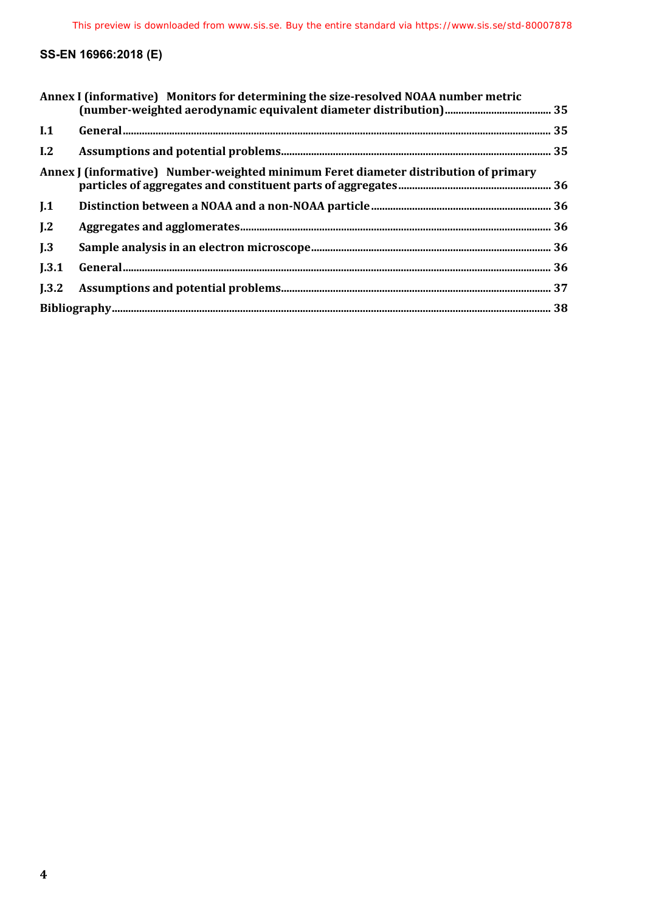|       | Annex I (informative) Monitors for determining the size-resolved NOAA number metric  |  |  |
|-------|--------------------------------------------------------------------------------------|--|--|
| I.1   |                                                                                      |  |  |
| I.2   |                                                                                      |  |  |
|       | Annex J (informative) Number-weighted minimum Feret diameter distribution of primary |  |  |
| J.1   |                                                                                      |  |  |
| J.2   |                                                                                      |  |  |
| J.3   |                                                                                      |  |  |
| J.3.1 |                                                                                      |  |  |
| I.3.2 |                                                                                      |  |  |
|       |                                                                                      |  |  |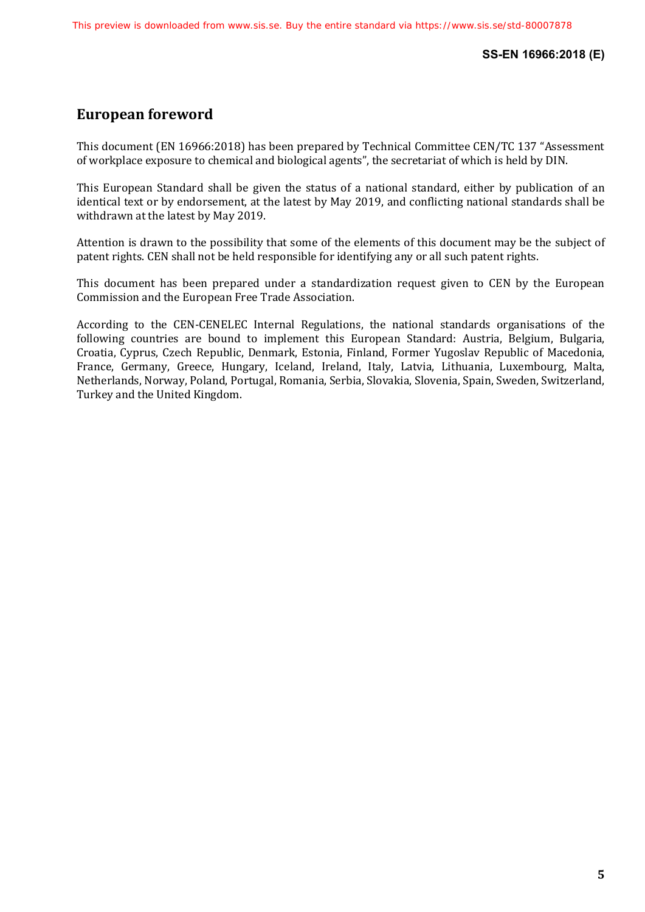# <span id="page-8-0"></span>**European foreword**

This document (EN 16966:2018) has been prepared by Technical Committee CEN/TC 137 "Assessment of workplace exposure to chemical and biological agents", the secretariat of which is held by DIN.

This European Standard shall be given the status of a national standard, either by publication of an identical text or by endorsement, at the latest by May 2019, and conflicting national standards shall be withdrawn at the latest by May 2019.

Attention is drawn to the possibility that some of the elements of this document may be the subject of patent rights. CEN shall not be held responsible for identifying any or all such patent rights.

This document has been prepared under a standardization request given to CEN by the European Commission and the European Free Trade Association.

According to the CEN-CENELEC Internal Regulations, the national standards organisations of the following countries are bound to implement this European Standard: Austria, Belgium, Bulgaria, Croatia, Cyprus, Czech Republic, Denmark, Estonia, Finland, Former Yugoslav Republic of Macedonia, France, Germany, Greece, Hungary, Iceland, Ireland, Italy, Latvia, Lithuania, Luxembourg, Malta, Netherlands, Norway, Poland, Portugal, Romania, Serbia, Slovakia, Slovenia, Spain, Sweden, Switzerland, Turkey and the United Kingdom.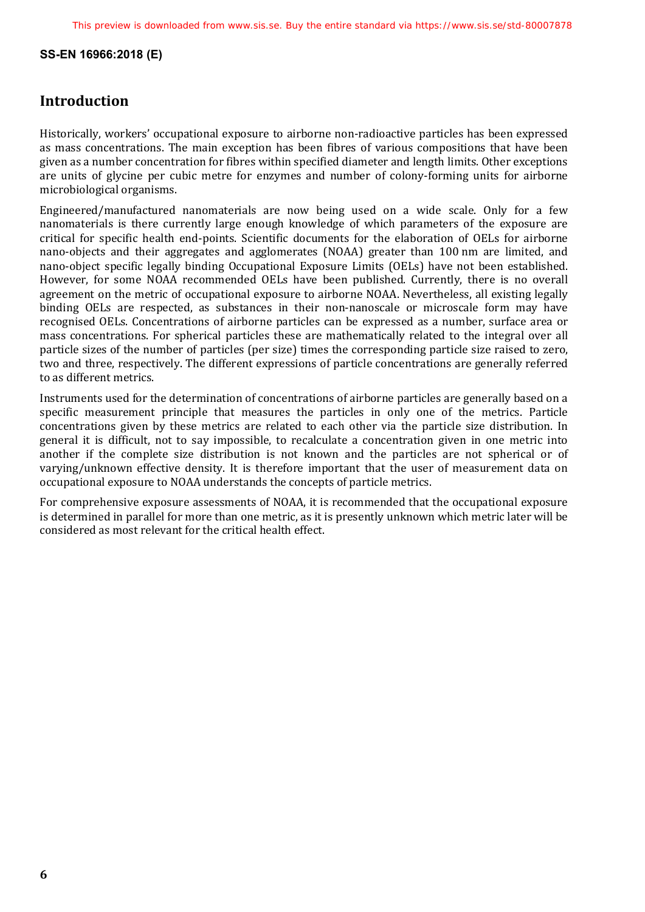# <span id="page-9-0"></span>**Introduction**

Historically, workers' occupational exposure to airborne non-radioactive particles has been expressed as mass concentrations. The main exception has been fibres of various compositions that have been given as a number concentration for fibres within specified diameter and length limits. Other exceptions are units of glycine per cubic metre for enzymes and number of colony-forming units for airborne microbiological organisms.

Engineered/manufactured nanomaterials are now being used on a wide scale. Only for a few nanomaterials is there currently large enough knowledge of which parameters of the exposure are critical for specific health end-points. Scientific documents for the elaboration of OELs for airborne nano-objects and their aggregates and agglomerates (NOAA) greater than 100 nm are limited, and nano-object specific legally binding Occupational Exposure Limits (OELs) have not been established. However, for some NOAA recommended OELs have been published. Currently, there is no overall agreement on the metric of occupational exposure to airborne NOAA. Nevertheless, all existing legally binding OELs are respected, as substances in their non-nanoscale or microscale form may have recognised OELs. Concentrations of airborne particles can be expressed as a number, surface area or mass concentrations. For spherical particles these are mathematically related to the integral over all particle sizes of the number of particles (per size) times the corresponding particle size raised to zero, two and three, respectively. The different expressions of particle concentrations are generally referred to as different metrics.

Instruments used for the determination of concentrations of airborne particles are generally based on a specific measurement principle that measures the particles in only one of the metrics. Particle concentrations given by these metrics are related to each other via the particle size distribution. In general it is difficult, not to say impossible, to recalculate a concentration given in one metric into another if the complete size distribution is not known and the particles are not spherical or of varying/unknown effective density. It is therefore important that the user of measurement data on occupational exposure to NOAA understands the concepts of particle metrics.

For comprehensive exposure assessments of NOAA, it is recommended that the occupational exposure is determined in parallel for more than one metric, as it is presently unknown which metric later will be considered as most relevant for the critical health effect.